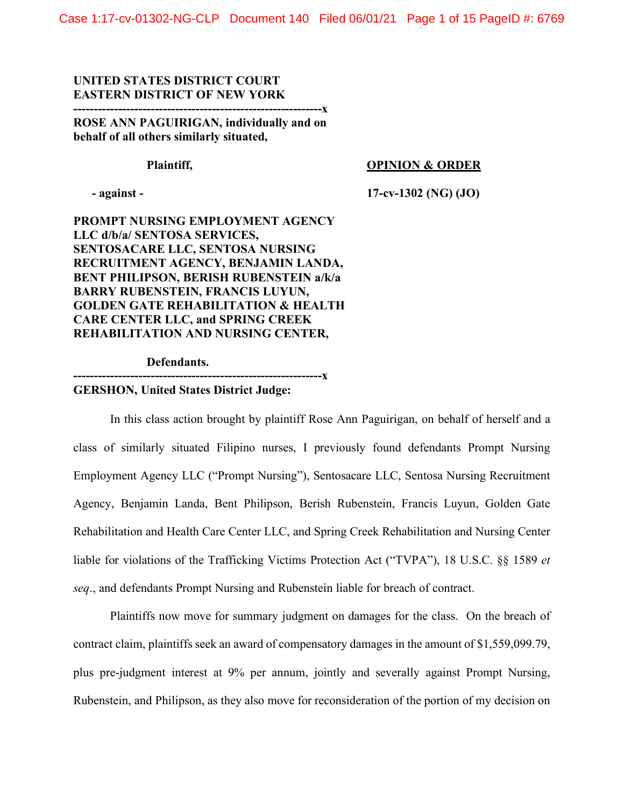# **UNITED STATES DISTRICT COURT EASTERN DISTRICT OF NEW YORK**

**-------------------------------------------------------------x ROSE ANN PAGUIRIGAN, individually and on behalf of all others similarly situated,** 

### Plaintiff, **Plaintiff, OPINION & ORDER**

 **- against - 17-cv-1302 (NG) (JO)**

**PROMPT NURSING EMPLOYMENT AGENCY LLC d/b/a/ SENTOSA SERVICES, SENTOSACARE LLC, SENTOSA NURSING RECRUITMENT AGENCY, BENJAMIN LANDA, BENT PHILIPSON, BERISH RUBENSTEIN a/k/a BARRY RUBENSTEIN, FRANCIS LUYUN, GOLDEN GATE REHABILITATION & HEALTH CARE CENTER LLC, and SPRING CREEK REHABILITATION AND NURSING CENTER,** 

 **Defendants.**

**-------------------------------------------------------------x**

### **GERSHON, United States District Judge:**

In this class action brought by plaintiff Rose Ann Paguirigan, on behalf of herself and a class of similarly situated Filipino nurses, I previously found defendants Prompt Nursing Employment Agency LLC ("Prompt Nursing"), Sentosacare LLC, Sentosa Nursing Recruitment Agency, Benjamin Landa, Bent Philipson, Berish Rubenstein, Francis Luyun, Golden Gate Rehabilitation and Health Care Center LLC, and Spring Creek Rehabilitation and Nursing Center liable for violations of the Trafficking Victims Protection Act ("TVPA"), 18 U.S.C. §§ 1589 *et seq*., and defendants Prompt Nursing and Rubenstein liable for breach of contract.

Plaintiffs now move for summary judgment on damages for the class. On the breach of contract claim, plaintiffs seek an award of compensatory damages in the amount of \$1,559,099.79, plus pre-judgment interest at 9% per annum, jointly and severally against Prompt Nursing, Rubenstein, and Philipson, as they also move for reconsideration of the portion of my decision on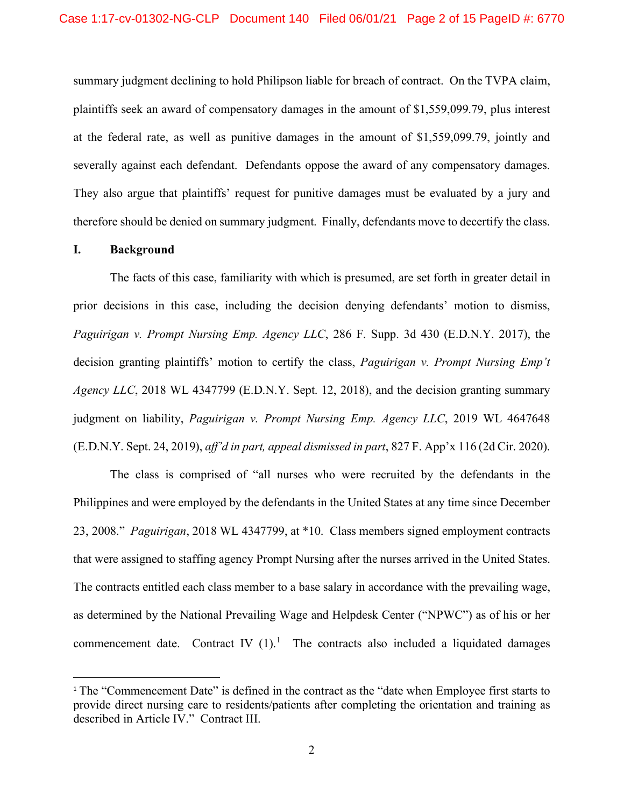summary judgment declining to hold Philipson liable for breach of contract. On the TVPA claim, plaintiffs seek an award of compensatory damages in the amount of \$1,559,099.79, plus interest at the federal rate, as well as punitive damages in the amount of \$1,559,099.79, jointly and severally against each defendant. Defendants oppose the award of any compensatory damages. They also argue that plaintiffs' request for punitive damages must be evaluated by a jury and therefore should be denied on summary judgment. Finally, defendants move to decertify the class.

# **I. Background**

The facts of this case, familiarity with which is presumed, are set forth in greater detail in prior decisions in this case, including the decision denying defendants' motion to dismiss, *Paguirigan v. Prompt Nursing Emp. Agency LLC*, 286 F. Supp. 3d 430 (E.D.N.Y. 2017), the decision granting plaintiffs' motion to certify the class, *Paguirigan v. Prompt Nursing Emp't Agency LLC*, 2018 WL 4347799 (E.D.N.Y. Sept. 12, 2018), and the decision granting summary judgment on liability, *Paguirigan v. Prompt Nursing Emp. Agency LLC*, 2019 WL 4647648 (E.D.N.Y. Sept. 24, 2019), *aff'd in part, appeal dismissed in part*, 827 F. App'x 116 (2d Cir. 2020).

The class is comprised of "all nurses who were recruited by the defendants in the Philippines and were employed by the defendants in the United States at any time since December 23, 2008." *Paguirigan*, 2018 WL 4347799, at \*10. Class members signed employment contracts that were assigned to staffing agency Prompt Nursing after the nurses arrived in the United States. The contracts entitled each class member to a base salary in accordance with the prevailing wage, as determined by the National Prevailing Wage and Helpdesk Center ("NPWC") as of his or her commencement date. Contract IV  $(1)$  $(1)$  $(1)$ .<sup>1</sup> The contracts also included a liquidated damages

<span id="page-1-0"></span><sup>1</sup> The "Commencement Date" is defined in the contract as the "date when Employee first starts to provide direct nursing care to residents/patients after completing the orientation and training as described in Article IV." Contract III.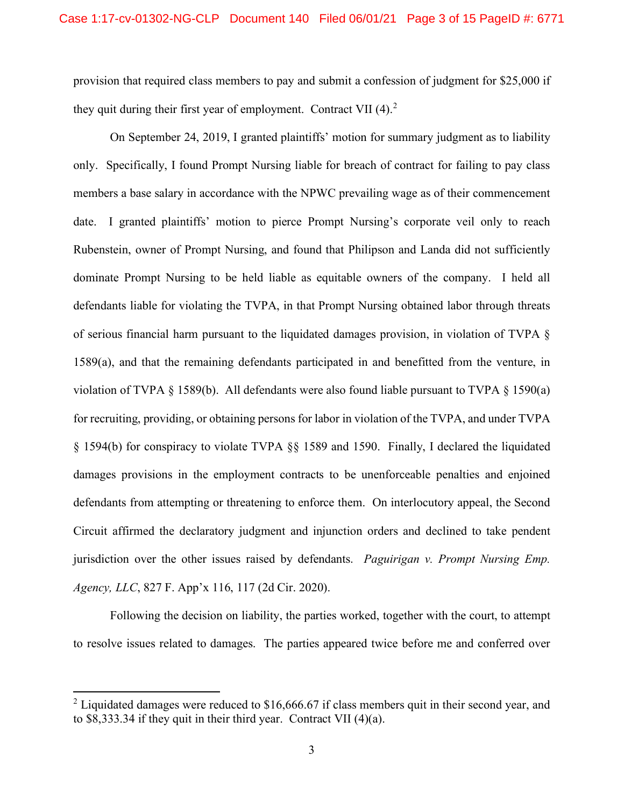provision that required class members to pay and submit a confession of judgment for \$25,000 if they quit during their first year of employment. Contract VII  $(4)$ .<sup>[2](#page-2-0)</sup>

On September 24, 2019, I granted plaintiffs' motion for summary judgment as to liability only. Specifically, I found Prompt Nursing liable for breach of contract for failing to pay class members a base salary in accordance with the NPWC prevailing wage as of their commencement date. I granted plaintiffs' motion to pierce Prompt Nursing's corporate veil only to reach Rubenstein, owner of Prompt Nursing, and found that Philipson and Landa did not sufficiently dominate Prompt Nursing to be held liable as equitable owners of the company. I held all defendants liable for violating the TVPA, in that Prompt Nursing obtained labor through threats of serious financial harm pursuant to the liquidated damages provision, in violation of TVPA § 1589(a), and that the remaining defendants participated in and benefitted from the venture, in violation of TVPA  $\S$  1589(b). All defendants were also found liable pursuant to TVPA  $\S$  1590(a) for recruiting, providing, or obtaining persons for labor in violation of the TVPA, and under TVPA § 1594(b) for conspiracy to violate TVPA §§ 1589 and 1590. Finally, I declared the liquidated damages provisions in the employment contracts to be unenforceable penalties and enjoined defendants from attempting or threatening to enforce them. On interlocutory appeal, the Second Circuit affirmed the declaratory judgment and injunction orders and declined to take pendent jurisdiction over the other issues raised by defendants. *Paguirigan v. Prompt Nursing Emp. Agency, LLC*, 827 F. App'x 116, 117 (2d Cir. 2020).

Following the decision on liability, the parties worked, together with the court, to attempt to resolve issues related to damages. The parties appeared twice before me and conferred over

<span id="page-2-0"></span><sup>&</sup>lt;sup>2</sup> Liquidated damages were reduced to  $$16,666.67$  if class members quit in their second year, and to \$8,333.34 if they quit in their third year. Contract VII (4)(a).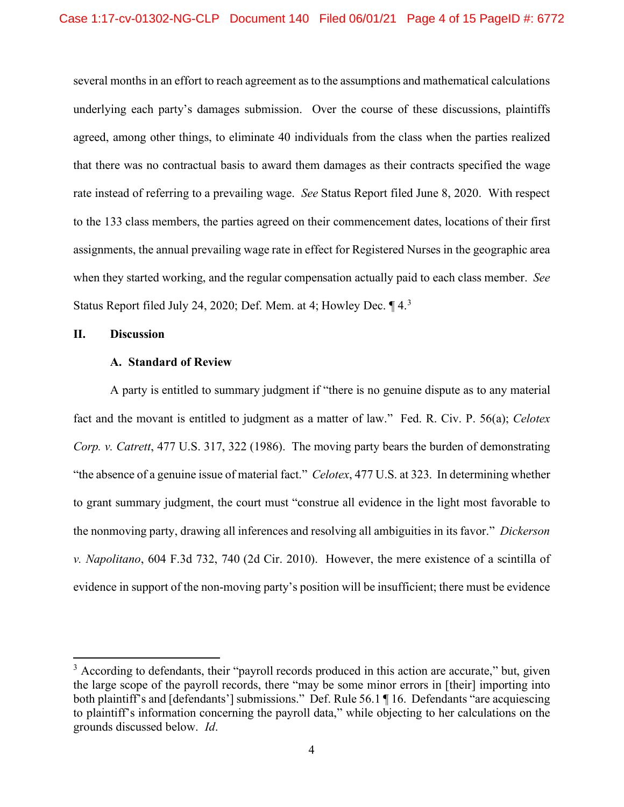several months in an effort to reach agreement as to the assumptions and mathematical calculations underlying each party's damages submission. Over the course of these discussions, plaintiffs agreed, among other things, to eliminate 40 individuals from the class when the parties realized that there was no contractual basis to award them damages as their contracts specified the wage rate instead of referring to a prevailing wage. *See* Status Report filed June 8, 2020. With respect to the 133 class members, the parties agreed on their commencement dates, locations of their first assignments, the annual prevailing wage rate in effect for Registered Nurses in the geographic area when they started working, and the regular compensation actually paid to each class member. *See* Status Report filed July 24, 2020; Def. Mem. at 4; Howley Dec. 14.[3](#page-3-0)

# **II. Discussion**

### **A. Standard of Review**

A party is entitled to summary judgment if "there is no genuine dispute as to any material fact and the movant is entitled to judgment as a matter of law." Fed. R. Civ. P. 56(a); *Celotex Corp. v. Catrett*, 477 U.S. 317, 322 (1986). The moving party bears the burden of demonstrating "the absence of a genuine issue of material fact." *Celotex*, 477 U.S. at 323. In determining whether to grant summary judgment, the court must "construe all evidence in the light most favorable to the nonmoving party, drawing all inferences and resolving all ambiguities in its favor." *Dickerson v. Napolitano*, 604 F.3d 732, 740 (2d Cir. 2010). However, the mere existence of a scintilla of evidence in support of the non-moving party's position will be insufficient; there must be evidence

<span id="page-3-0"></span><sup>&</sup>lt;sup>3</sup> According to defendants, their "payroll records produced in this action are accurate," but, given the large scope of the payroll records, there "may be some minor errors in [their] importing into both plaintiff's and [defendants'] submissions." Def. Rule 56.1 ¶ 16. Defendants "are acquiescing to plaintiff's information concerning the payroll data," while objecting to her calculations on the grounds discussed below. *Id*.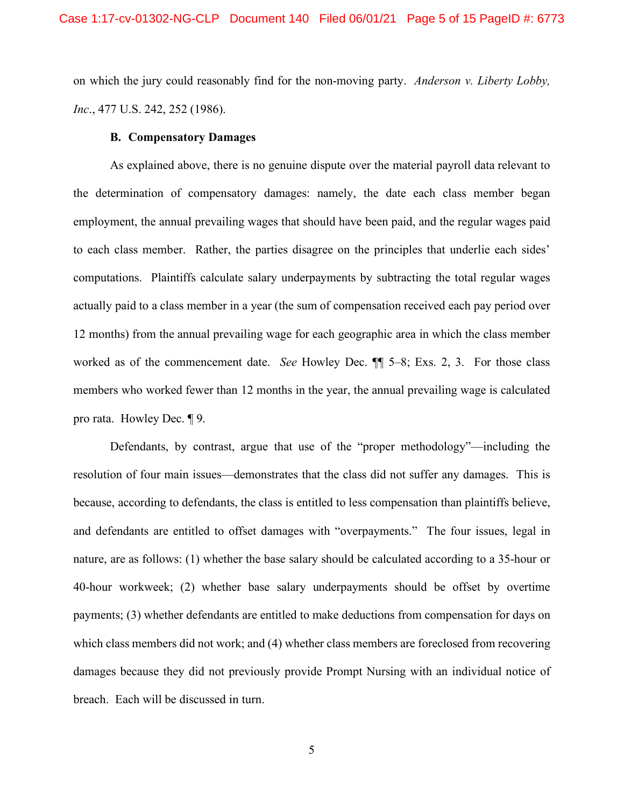on which the jury could reasonably find for the non-moving party. *Anderson v. Liberty Lobby, Inc*., 477 U.S. 242, 252 (1986).

### **B. Compensatory Damages**

As explained above, there is no genuine dispute over the material payroll data relevant to the determination of compensatory damages: namely, the date each class member began employment, the annual prevailing wages that should have been paid, and the regular wages paid to each class member. Rather, the parties disagree on the principles that underlie each sides' computations. Plaintiffs calculate salary underpayments by subtracting the total regular wages actually paid to a class member in a year (the sum of compensation received each pay period over 12 months) from the annual prevailing wage for each geographic area in which the class member worked as of the commencement date. *See* Howley Dec. ¶¶ 5–8; Exs. 2, 3. For those class members who worked fewer than 12 months in the year, the annual prevailing wage is calculated pro rata. Howley Dec. ¶ 9.

Defendants, by contrast, argue that use of the "proper methodology"—including the resolution of four main issues—demonstrates that the class did not suffer any damages. This is because, according to defendants, the class is entitled to less compensation than plaintiffs believe, and defendants are entitled to offset damages with "overpayments." The four issues, legal in nature, are as follows: (1) whether the base salary should be calculated according to a 35-hour or 40-hour workweek; (2) whether base salary underpayments should be offset by overtime payments; (3) whether defendants are entitled to make deductions from compensation for days on which class members did not work; and (4) whether class members are foreclosed from recovering damages because they did not previously provide Prompt Nursing with an individual notice of breach. Each will be discussed in turn.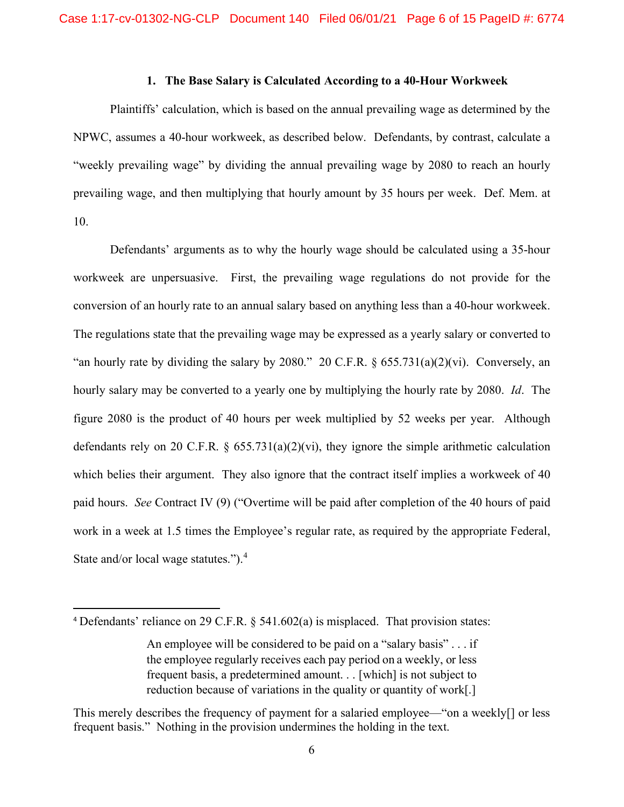### **1. The Base Salary is Calculated According to a 40-Hour Workweek**

Plaintiffs' calculation, which is based on the annual prevailing wage as determined by the NPWC, assumes a 40-hour workweek, as described below. Defendants, by contrast, calculate a "weekly prevailing wage" by dividing the annual prevailing wage by 2080 to reach an hourly prevailing wage, and then multiplying that hourly amount by 35 hours per week. Def. Mem. at 10.

Defendants' arguments as to why the hourly wage should be calculated using a 35-hour workweek are unpersuasive. First, the prevailing wage regulations do not provide for the conversion of an hourly rate to an annual salary based on anything less than a 40-hour workweek. The regulations state that the prevailing wage may be expressed as a yearly salary or converted to "an hourly rate by dividing the salary by 2080." 20 C.F.R.  $\S$  655.731(a)(2)(vi). Conversely, an hourly salary may be converted to a yearly one by multiplying the hourly rate by 2080. *Id*. The figure 2080 is the product of 40 hours per week multiplied by 52 weeks per year. Although defendants rely on 20 C.F.R.  $\S$  655.731(a)(2)(vi), they ignore the simple arithmetic calculation which belies their argument. They also ignore that the contract itself implies a workweek of 40 paid hours. *See* Contract IV (9) ("Overtime will be paid after completion of the 40 hours of paid work in a week at 1.5 times the Employee's regular rate, as required by the appropriate Federal, State and/or local wage statutes."). [4](#page-5-0)

<span id="page-5-0"></span><sup>4</sup> Defendants' reliance on 29 C.F.R. § 541.602(a) is misplaced. That provision states:

An employee will be considered to be paid on a "salary basis" . . . if the employee regularly receives each pay period on a weekly, or less frequent basis, a predetermined amount. . . [which] is not subject to reduction because of variations in the quality or quantity of work[.]

This merely describes the frequency of payment for a salaried employee—"on a weekly[] or less frequent basis." Nothing in the provision undermines the holding in the text.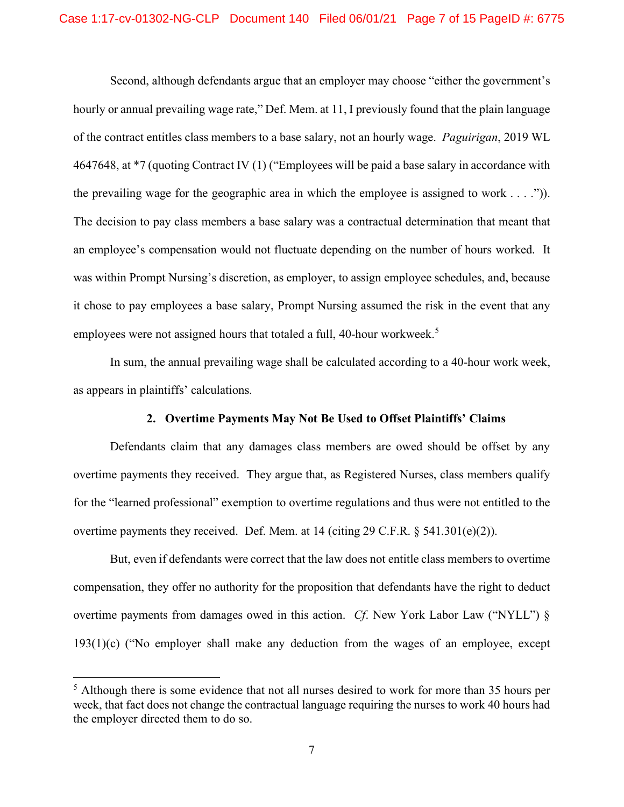Second, although defendants argue that an employer may choose "either the government's hourly or annual prevailing wage rate," Def. Mem. at 11, I previously found that the plain language of the contract entitles class members to a base salary, not an hourly wage. *Paguirigan*, 2019 WL 4647648, at \*7 (quoting Contract IV (1) ("Employees will be paid a base salary in accordance with the prevailing wage for the geographic area in which the employee is assigned to work  $\dots$ ."). The decision to pay class members a base salary was a contractual determination that meant that an employee's compensation would not fluctuate depending on the number of hours worked. It was within Prompt Nursing's discretion, as employer, to assign employee schedules, and, because it chose to pay employees a base salary, Prompt Nursing assumed the risk in the event that any employees were not assigned hours that totaled a full, 40-hour workweek.<sup>[5](#page-6-0)</sup>

In sum, the annual prevailing wage shall be calculated according to a 40-hour work week, as appears in plaintiffs' calculations.

# **2. Overtime Payments May Not Be Used to Offset Plaintiffs' Claims**

Defendants claim that any damages class members are owed should be offset by any overtime payments they received. They argue that, as Registered Nurses, class members qualify for the "learned professional" exemption to overtime regulations and thus were not entitled to the overtime payments they received. Def. Mem. at 14 (citing 29 C.F.R.  $\S$  541.301(e)(2)).

But, even if defendants were correct that the law does not entitle class members to overtime compensation, they offer no authority for the proposition that defendants have the right to deduct overtime payments from damages owed in this action. *Cf*. New York Labor Law ("NYLL") § 193(1)(c) ("No employer shall make any deduction from the wages of an employee, except

<span id="page-6-0"></span> $<sup>5</sup>$  Although there is some evidence that not all nurses desired to work for more than 35 hours per</sup> week, that fact does not change the contractual language requiring the nurses to work 40 hours had the employer directed them to do so.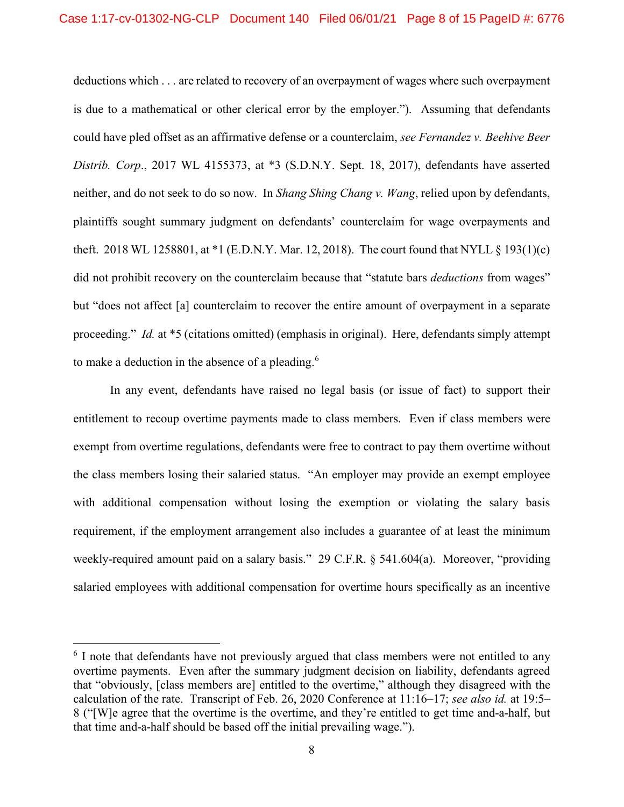deductions which . . . are related to recovery of an overpayment of wages where such overpayment is due to a mathematical or other clerical error by the employer."). Assuming that defendants could have pled offset as an affirmative defense or a counterclaim, *see Fernandez v. Beehive Beer Distrib. Corp*., 2017 WL 4155373, at \*3 (S.D.N.Y. Sept. 18, 2017), defendants have asserted neither, and do not seek to do so now. In *Shang Shing Chang v. Wang*, relied upon by defendants, plaintiffs sought summary judgment on defendants' counterclaim for wage overpayments and theft. 2018 WL 1258801, at \*1 (E.D.N.Y. Mar. 12, 2018). The court found that NYLL § 193(1)(c) did not prohibit recovery on the counterclaim because that "statute bars *deductions* from wages" but "does not affect [a] counterclaim to recover the entire amount of overpayment in a separate proceeding." *Id.* at \*5 (citations omitted) (emphasis in original). Here, defendants simply attempt to make a deduction in the absence of a pleading.<sup>[6](#page-7-0)</sup>

In any event, defendants have raised no legal basis (or issue of fact) to support their entitlement to recoup overtime payments made to class members. Even if class members were exempt from overtime regulations, defendants were free to contract to pay them overtime without the class members losing their salaried status. "An employer may provide an exempt employee with additional compensation without losing the exemption or violating the salary basis requirement, if the employment arrangement also includes a guarantee of at least the minimum weekly-required amount paid on a salary basis." 29 C.F.R. § 541.604(a). Moreover, "providing salaried employees with additional compensation for overtime hours specifically as an incentive

<span id="page-7-0"></span><sup>&</sup>lt;sup>6</sup> I note that defendants have not previously argued that class members were not entitled to any overtime payments. Even after the summary judgment decision on liability, defendants agreed that "obviously, [class members are] entitled to the overtime," although they disagreed with the calculation of the rate. Transcript of Feb. 26, 2020 Conference at 11:16–17; *see also id.* at 19:5– 8 ("[W]e agree that the overtime is the overtime, and they're entitled to get time and-a-half, but that time and-a-half should be based off the initial prevailing wage.").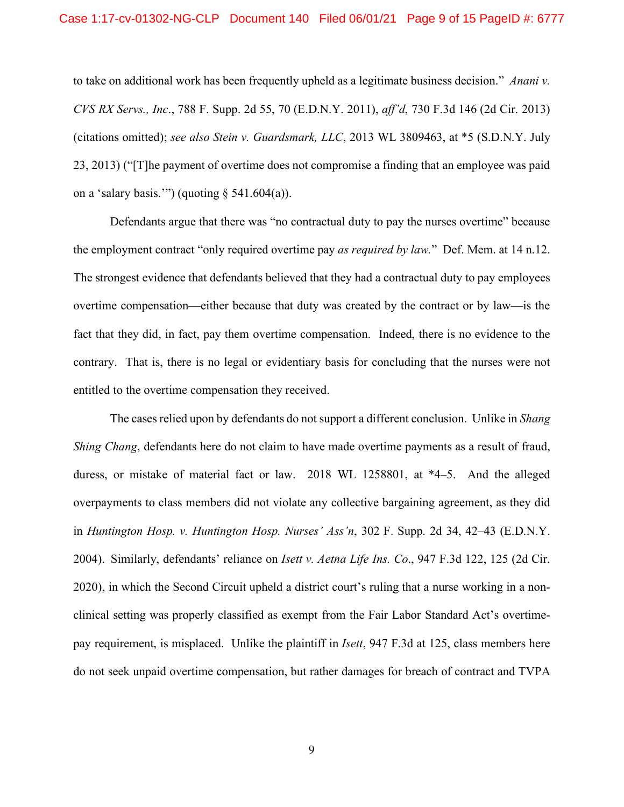to take on additional work has been frequently upheld as a legitimate business decision." *Anani v. CVS RX Servs., Inc*., 788 F. Supp. 2d 55, 70 (E.D.N.Y. 2011), *aff'd*, 730 F.3d 146 (2d Cir. 2013) (citations omitted); *see also Stein v. Guardsmark, LLC*, 2013 WL 3809463, at \*5 (S.D.N.Y. July 23, 2013) ("[T]he payment of overtime does not compromise a finding that an employee was paid on a 'salary basis.'") (quoting  $\S$  541.604(a)).

Defendants argue that there was "no contractual duty to pay the nurses overtime" because the employment contract "only required overtime pay *as required by law.*" Def. Mem. at 14 n.12. The strongest evidence that defendants believed that they had a contractual duty to pay employees overtime compensation—either because that duty was created by the contract or by law—is the fact that they did, in fact, pay them overtime compensation. Indeed, there is no evidence to the contrary. That is, there is no legal or evidentiary basis for concluding that the nurses were not entitled to the overtime compensation they received.

The cases relied upon by defendants do not support a different conclusion. Unlike in *Shang Shing Chang*, defendants here do not claim to have made overtime payments as a result of fraud, duress, or mistake of material fact or law. 2018 WL 1258801, at \*4–5. And the alleged overpayments to class members did not violate any collective bargaining agreement, as they did in *Huntington Hosp. v. Huntington Hosp. Nurses' Ass'n*, 302 F. Supp. 2d 34, 42–43 (E.D.N.Y. 2004). Similarly, defendants' reliance on *Isett v. Aetna Life Ins. Co*., 947 F.3d 122, 125 (2d Cir. 2020), in which the Second Circuit upheld a district court's ruling that a nurse working in a nonclinical setting was properly classified as exempt from the Fair Labor Standard Act's overtimepay requirement, is misplaced. Unlike the plaintiff in *Isett*, 947 F.3d at 125, class members here do not seek unpaid overtime compensation, but rather damages for breach of contract and TVPA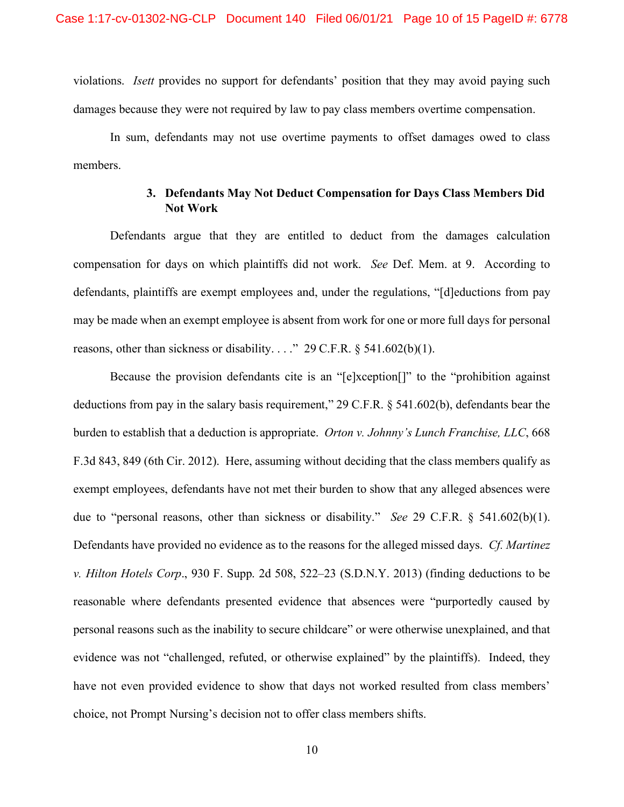violations. *Isett* provides no support for defendants' position that they may avoid paying such damages because they were not required by law to pay class members overtime compensation.

In sum, defendants may not use overtime payments to offset damages owed to class members.

# **3. Defendants May Not Deduct Compensation for Days Class Members Did Not Work**

Defendants argue that they are entitled to deduct from the damages calculation compensation for days on which plaintiffs did not work. *See* Def. Mem. at 9. According to defendants, plaintiffs are exempt employees and, under the regulations, "[d]eductions from pay may be made when an exempt employee is absent from work for one or more full days for personal reasons, other than sickness or disability. . . ." 29 C.F.R.  $\S$  541.602(b)(1).

Because the provision defendants cite is an "[e]xception[]" to the "prohibition against deductions from pay in the salary basis requirement," 29 C.F.R. § 541.602(b), defendants bear the burden to establish that a deduction is appropriate. *Orton v. Johnny's Lunch Franchise, LLC*, 668 F.3d 843, 849 (6th Cir. 2012). Here, assuming without deciding that the class members qualify as exempt employees, defendants have not met their burden to show that any alleged absences were due to "personal reasons, other than sickness or disability." *See* 29 C.F.R. § 541.602(b)(1). Defendants have provided no evidence as to the reasons for the alleged missed days. *Cf. Martinez v. Hilton Hotels Corp*., 930 F. Supp. 2d 508, 522–23 (S.D.N.Y. 2013) (finding deductions to be reasonable where defendants presented evidence that absences were "purportedly caused by personal reasons such as the inability to secure childcare" or were otherwise unexplained, and that evidence was not "challenged, refuted, or otherwise explained" by the plaintiffs). Indeed, they have not even provided evidence to show that days not worked resulted from class members' choice, not Prompt Nursing's decision not to offer class members shifts.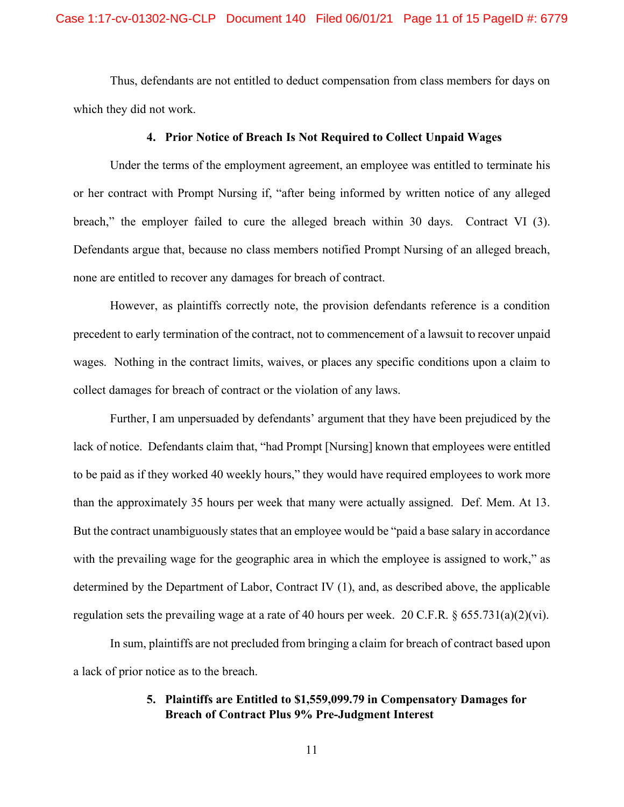Thus, defendants are not entitled to deduct compensation from class members for days on which they did not work.

# **4. Prior Notice of Breach Is Not Required to Collect Unpaid Wages**

Under the terms of the employment agreement, an employee was entitled to terminate his or her contract with Prompt Nursing if, "after being informed by written notice of any alleged breach," the employer failed to cure the alleged breach within 30 days. Contract VI (3). Defendants argue that, because no class members notified Prompt Nursing of an alleged breach, none are entitled to recover any damages for breach of contract.

However, as plaintiffs correctly note, the provision defendants reference is a condition precedent to early termination of the contract, not to commencement of a lawsuit to recover unpaid wages. Nothing in the contract limits, waives, or places any specific conditions upon a claim to collect damages for breach of contract or the violation of any laws.

Further, I am unpersuaded by defendants' argument that they have been prejudiced by the lack of notice. Defendants claim that, "had Prompt [Nursing] known that employees were entitled to be paid as if they worked 40 weekly hours," they would have required employees to work more than the approximately 35 hours per week that many were actually assigned. Def. Mem. At 13. But the contract unambiguously states that an employee would be "paid a base salary in accordance" with the prevailing wage for the geographic area in which the employee is assigned to work," as determined by the Department of Labor, Contract IV (1), and, as described above, the applicable regulation sets the prevailing wage at a rate of 40 hours per week. 20 C.F.R.  $\S 655.731(a)(2)(vi)$ .

In sum, plaintiffs are not precluded from bringing a claim for breach of contract based upon a lack of prior notice as to the breach.

# **5. Plaintiffs are Entitled to \$1,559,099.79 in Compensatory Damages for Breach of Contract Plus 9% Pre-Judgment Interest**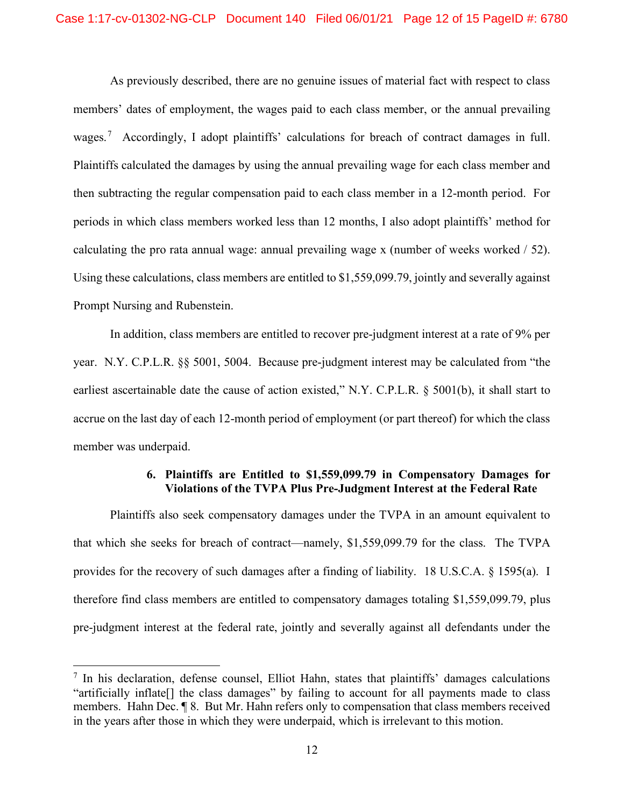As previously described, there are no genuine issues of material fact with respect to class members' dates of employment, the wages paid to each class member, or the annual prevailing wages.<sup>[7](#page-11-0)</sup> Accordingly, I adopt plaintiffs' calculations for breach of contract damages in full. Plaintiffs calculated the damages by using the annual prevailing wage for each class member and then subtracting the regular compensation paid to each class member in a 12-month period. For periods in which class members worked less than 12 months, I also adopt plaintiffs' method for calculating the pro rata annual wage: annual prevailing wage x (number of weeks worked / 52). Using these calculations, class members are entitled to \$1,559,099.79, jointly and severally against Prompt Nursing and Rubenstein.

In addition, class members are entitled to recover pre-judgment interest at a rate of 9% per year. N.Y. C.P.L.R. §§ 5001, 5004. Because pre-judgment interest may be calculated from "the earliest ascertainable date the cause of action existed," N.Y. C.P.L.R. § 5001(b), it shall start to accrue on the last day of each 12-month period of employment (or part thereof) for which the class member was underpaid.

# **6. Plaintiffs are Entitled to \$1,559,099.79 in Compensatory Damages for Violations of the TVPA Plus Pre-Judgment Interest at the Federal Rate**

Plaintiffs also seek compensatory damages under the TVPA in an amount equivalent to that which she seeks for breach of contract—namely, \$1,559,099.79 for the class. The TVPA provides for the recovery of such damages after a finding of liability. 18 U.S.C.A. § 1595(a). I therefore find class members are entitled to compensatory damages totaling \$1,559,099.79, plus pre-judgment interest at the federal rate, jointly and severally against all defendants under the

<span id="page-11-0"></span> $<sup>7</sup>$  In his declaration, defense counsel, Elliot Hahn, states that plaintiffs' damages calculations</sup> "artificially inflate[] the class damages" by failing to account for all payments made to class members. Hahn Dec. ¶ 8. But Mr. Hahn refers only to compensation that class members received in the years after those in which they were underpaid, which is irrelevant to this motion.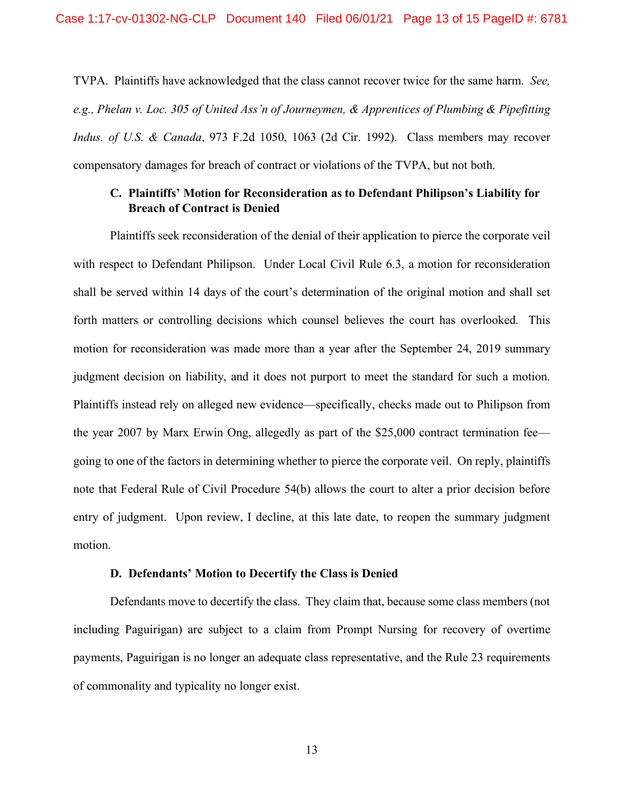TVPA. Plaintiffs have acknowledged that the class cannot recover twice for the same harm. *See, e.g., Phelan v. Loc. 305 of United Ass'n of Journeymen, & Apprentices of Plumbing & Pipefitting Indus. of U.S. & Canada*, 973 F.2d 1050, 1063 (2d Cir. 1992). Class members may recover compensatory damages for breach of contract or violations of the TVPA, but not both.

# **C. Plaintiffs' Motion for Reconsideration as to Defendant Philipson's Liability for Breach of Contract is Denied**

Plaintiffs seek reconsideration of the denial of their application to pierce the corporate veil with respect to Defendant Philipson. Under Local Civil Rule 6.3, a motion for reconsideration shall be served within 14 days of the court's determination of the original motion and shall set forth matters or controlling decisions which counsel believes the court has overlooked. This motion for reconsideration was made more than a year after the September 24, 2019 summary judgment decision on liability, and it does not purport to meet the standard for such a motion. Plaintiffs instead rely on alleged new evidence—specifically, checks made out to Philipson from the year 2007 by Marx Erwin Ong, allegedly as part of the \$25,000 contract termination fee going to one of the factors in determining whether to pierce the corporate veil. On reply, plaintiffs note that Federal Rule of Civil Procedure 54(b) allows the court to alter a prior decision before entry of judgment. Upon review, I decline, at this late date, to reopen the summary judgment motion.

### **D. Defendants' Motion to Decertify the Class is Denied**

Defendants move to decertify the class. They claim that, because some class members (not including Paguirigan) are subject to a claim from Prompt Nursing for recovery of overtime payments, Paguirigan is no longer an adequate class representative, and the Rule 23 requirements of commonality and typicality no longer exist.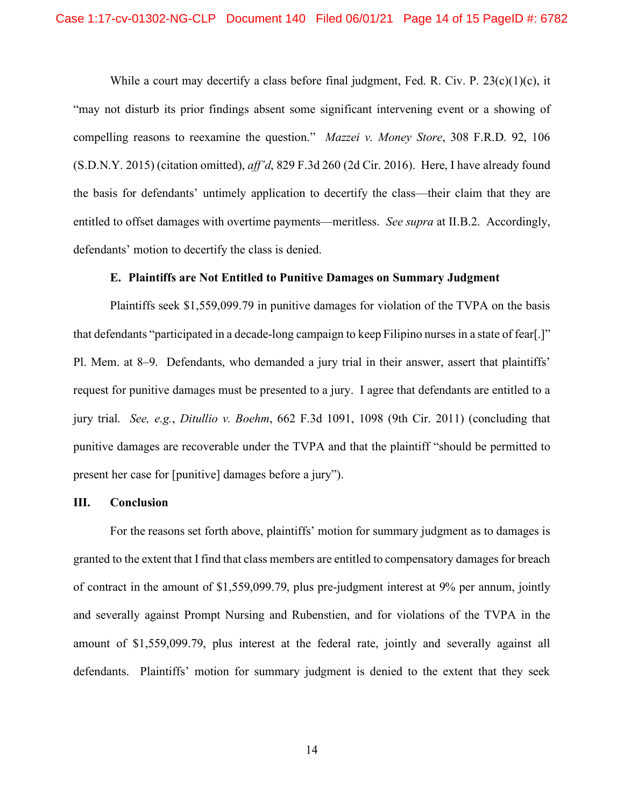While a court may decertify a class before final judgment, Fed. R. Civ. P.  $23(c)(1)(c)$ , it "may not disturb its prior findings absent some significant intervening event or a showing of compelling reasons to reexamine the question." *Mazzei v. Money Store*, 308 F.R.D. 92, 106 (S.D.N.Y. 2015) (citation omitted), *aff'd*, 829 F.3d 260 (2d Cir. 2016). Here, I have already found the basis for defendants' untimely application to decertify the class—their claim that they are entitled to offset damages with overtime payments—meritless. *See supra* at II.B.2. Accordingly, defendants' motion to decertify the class is denied.

### **E. Plaintiffs are Not Entitled to Punitive Damages on Summary Judgment**

Plaintiffs seek \$1,559,099.79 in punitive damages for violation of the TVPA on the basis that defendants "participated in a decade-long campaign to keep Filipino nurses in a state of fear[.]" Pl. Mem. at 8–9. Defendants, who demanded a jury trial in their answer, assert that plaintiffs' request for punitive damages must be presented to a jury. I agree that defendants are entitled to a jury trial. *See, e.g.*, *Ditullio v. Boehm*, 662 F.3d 1091, 1098 (9th Cir. 2011) (concluding that punitive damages are recoverable under the TVPA and that the plaintiff "should be permitted to present her case for [punitive] damages before a jury").

#### **III. Conclusion**

For the reasons set forth above, plaintiffs' motion for summary judgment as to damages is granted to the extent that I find that class members are entitled to compensatory damages for breach of contract in the amount of \$1,559,099.79, plus pre-judgment interest at 9% per annum, jointly and severally against Prompt Nursing and Rubenstien, and for violations of the TVPA in the amount of \$1,559,099.79, plus interest at the federal rate, jointly and severally against all defendants. Plaintiffs' motion for summary judgment is denied to the extent that they seek